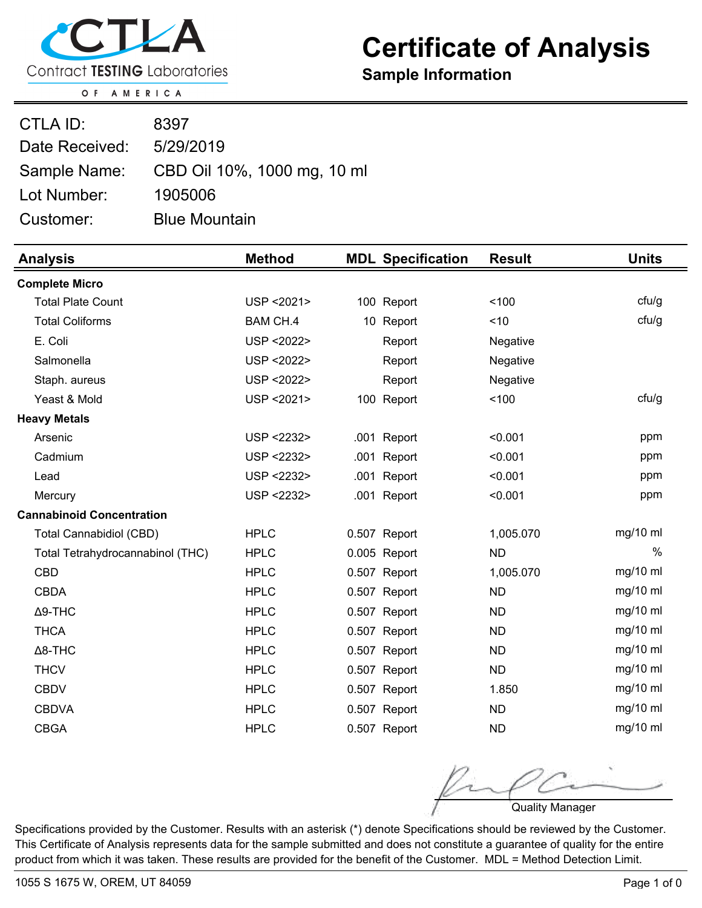

## **Certificate of Analysis**

**Sample Information**

OF AMERICA

| CTLA ID:       | 8397                        |
|----------------|-----------------------------|
| Date Received: | 5/29/2019                   |
| Sample Name:   | CBD Oil 10%, 1000 mg, 10 ml |
| Lot Number:    | 1905006                     |
| Customer:      | <b>Blue Mountain</b>        |

| <b>Analysis</b>                  | <b>Method</b>   |              | <b>MDL Specification</b> | <b>Result</b> | <b>Units</b>  |
|----------------------------------|-----------------|--------------|--------------------------|---------------|---------------|
| <b>Complete Micro</b>            |                 |              |                          |               |               |
| <b>Total Plate Count</b>         | USP < 2021>     |              | 100 Report               | 100           | ctu/g         |
| <b>Total Coliforms</b>           | <b>BAM CH.4</b> |              | 10 Report                | ~10           | ctu/g         |
| E. Coli                          | USP < 2022>     |              | Report                   | Negative      |               |
| Salmonella                       | USP < 2022>     |              | Report                   | Negative      |               |
| Staph. aureus                    | USP < 2022>     |              | Report                   | Negative      |               |
| Yeast & Mold                     | USP < 2021>     |              | 100 Report               | 100           | ctu/g         |
| <b>Heavy Metals</b>              |                 |              |                          |               |               |
| Arsenic                          | USP <2232>      |              | .001 Report              | < 0.001       | ppm           |
| Cadmium                          | USP <2232>      |              | .001 Report              | < 0.001       | ppm           |
| Lead                             | USP <2232>      |              | .001 Report              | < 0.001       | ppm           |
| Mercury                          | USP <2232>      |              | .001 Report              | < 0.001       | ppm           |
| <b>Cannabinoid Concentration</b> |                 |              |                          |               |               |
| <b>Total Cannabidiol (CBD)</b>   | <b>HPLC</b>     | 0.507 Report |                          | 1,005.070     | mg/10 ml      |
| Total Tetrahydrocannabinol (THC) | <b>HPLC</b>     | 0.005 Report |                          | <b>ND</b>     | $\frac{0}{0}$ |
| <b>CBD</b>                       | <b>HPLC</b>     | 0.507 Report |                          | 1,005.070     | mg/10 ml      |
| <b>CBDA</b>                      | <b>HPLC</b>     | 0.507 Report |                          | <b>ND</b>     | mg/10 ml      |
| $\Delta$ 9-THC                   | <b>HPLC</b>     | 0.507 Report |                          | <b>ND</b>     | $mg/10$ ml    |
| <b>THCA</b>                      | <b>HPLC</b>     | 0.507 Report |                          | <b>ND</b>     | mg/10 ml      |
| $\Delta$ 8-THC                   | <b>HPLC</b>     | 0.507 Report |                          | <b>ND</b>     | $mg/10$ ml    |
| <b>THCV</b>                      | <b>HPLC</b>     | 0.507 Report |                          | <b>ND</b>     | mg/10 ml      |
| <b>CBDV</b>                      | <b>HPLC</b>     | 0.507 Report |                          | 1.850         | mg/10 ml      |
| <b>CBDVA</b>                     | <b>HPLC</b>     | 0.507 Report |                          | <b>ND</b>     | $mg/10$ ml    |
| <b>CBGA</b>                      | <b>HPLC</b>     | 0.507 Report |                          | <b>ND</b>     | $mg/10$ ml    |

Quality Manager

Specifications provided by the Customer. Results with an asterisk (\*) denote Specifications should be reviewed by the Customer. This Certificate of Analysis represents data for the sample submitted and does not constitute a guarantee of quality for the entire product from which it was taken. These results are provided for the benefit of the Customer. MDL = Method Detection Limit.